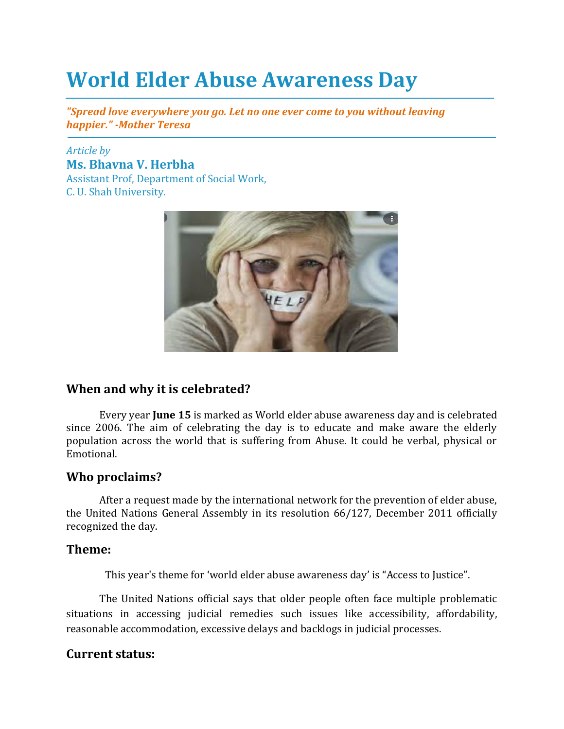# **World Elder Abuse Awareness Day**

*"Spread love everywhere you go. Let no one ever come to you without leaving happier." -Mother Teresa*

#### *Article by* **Ms. Bhavna V. Herbha**  Assistant Prof, Department of Social Work, C. U. Shah University.



### **When and why it is celebrated?**

Every year **June 15** is marked as World elder abuse awareness day and is celebrated since 2006. The aim of celebrating the day is to educate and make aware the elderly population across the world that is suffering from Abuse. It could be verbal, physical or Emotional.

#### **Who proclaims?**

After a request made by the international network for the prevention of elder abuse, the United Nations General Assembly in its resolution 66/127, December 2011 officially recognized the day.

#### **Theme:**

This year's theme for 'world elder abuse awareness day' is "Access to Justice".

The United Nations official says that older people often face multiple problematic situations in accessing judicial remedies such issues like accessibility, affordability, reasonable accommodation, excessive delays and backlogs in judicial processes.

#### **Current status:**